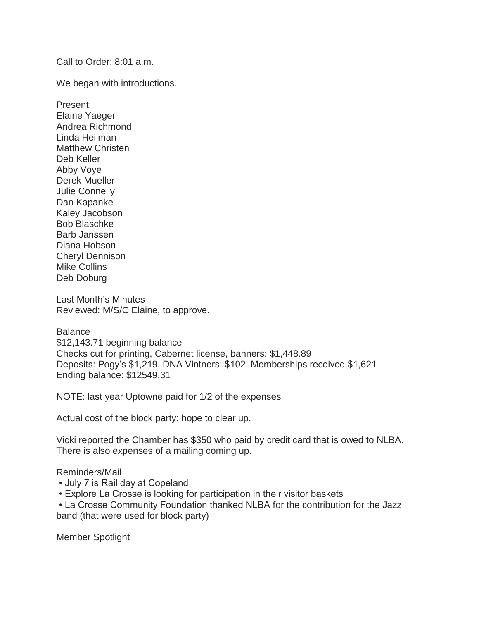Call to Order: 8:01 a.m.

We began with introductions.

Present: Elaine Yaeger Andrea Richmond Linda Heilman Matthew Christen Deb Keller Abby Voye Derek Mueller Julie Connelly Dan Kapanke Kaley Jacobson Bob Blaschke Barb Janssen Diana Hobson Cheryl Dennison Mike Collins Deb Doburg

Last Month's Minutes Reviewed: M/S/C Elaine, to approve.

**Balance** \$12,143.71 beginning balance Checks cut for printing, Cabernet license, banners: \$1,448.89 Deposits: Pogy's \$1,219. DNA Vintners: \$102. Memberships received \$1,621 Ending balance: \$12549.31

NOTE: last year Uptowne paid for 1/2 of the expenses

Actual cost of the block party: hope to clear up.

Vicki reported the Chamber has \$350 who paid by credit card that is owed to NLBA. There is also expenses of a mailing coming up.

## Reminders/Mail

- July 7 is Rail day at Copeland
- Explore La Crosse is looking for participation in their visitor baskets

• La Crosse Community Foundation thanked NLBA for the contribution for the Jazz band (that were used for block party)

Member Spotlight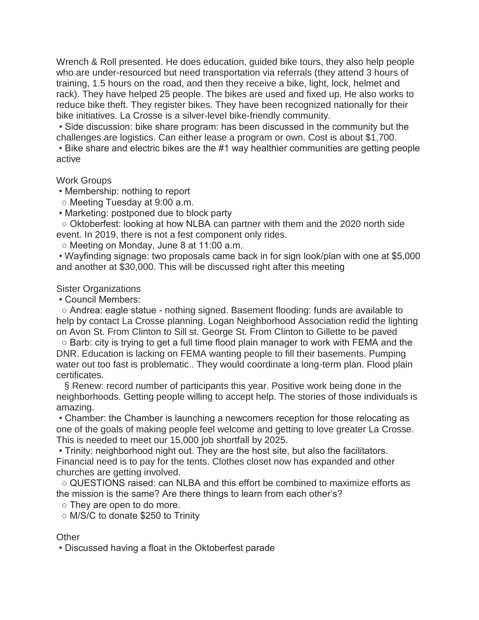Wrench & Roll presented. He does education, guided bike tours, they also help people who are under-resourced but need transportation via referrals (they attend 3 hours of training, 1.5 hours on the road, and then they receive a bike, light, lock, helmet and rack). They have helped 25 people. The bikes are used and fixed up. He also works to reduce bike theft. They register bikes. They have been recognized nationally for their bike initiatives. La Crosse is a silver-level bike-friendly community.

• Side discussion: bike share program: has been discussed in the community but the challenges are logistics. Can either lease a program or own. Cost is about \$1,700.

• Bike share and electric bikes are the #1 way healthier communities are getting people active

## Work Groups

• Membership: nothing to report

○ Meeting Tuesday at 9:00 a.m.

• Marketing: postponed due to block party

○ Oktoberfest: looking at how NLBA can partner with them and the 2020 north side event. In 2019, there is not a fest component only rides.

○ Meeting on Monday, June 8 at 11:00 a.m.

• Wayfinding signage: two proposals came back in for sign look/plan with one at \$5,000 and another at \$30,000. This will be discussed right after this meeting

## Sister Organizations

• Council Members:

○ Andrea: eagle statue - nothing signed. Basement flooding: funds are available to help by contact La Crosse planning. Logan Neighborhood Association redid the lighting on Avon St. From Clinton to Sill st. George St. From Clinton to Gillette to be paved

○ Barb: city is trying to get a full time flood plain manager to work with FEMA and the DNR. Education is lacking on FEMA wanting people to fill their basements. Pumping water out too fast is problematic.. They would coordinate a long-term plan. Flood plain certificates.

§ Renew: record number of participants this year. Positive work being done in the neighborhoods. Getting people willing to accept help. The stories of those individuals is amazing.

• Chamber: the Chamber is launching a newcomers reception for those relocating as one of the goals of making people feel welcome and getting to love greater La Crosse. This is needed to meet our 15,000 job shortfall by 2025.

• Trinity: neighborhood night out. They are the host site, but also the facilitators. Financial need is to pay for the tents. Clothes closet now has expanded and other churches are getting involved.

 $\circ$  QUESTIONS raised: can NLBA and this effort be combined to maximize efforts as the mission is the same? Are there things to learn from each other's?

○ They are open to do more.

○ M/S/C to donate \$250 to Trinity

## **Other**

• Discussed having a float in the Oktoberfest parade